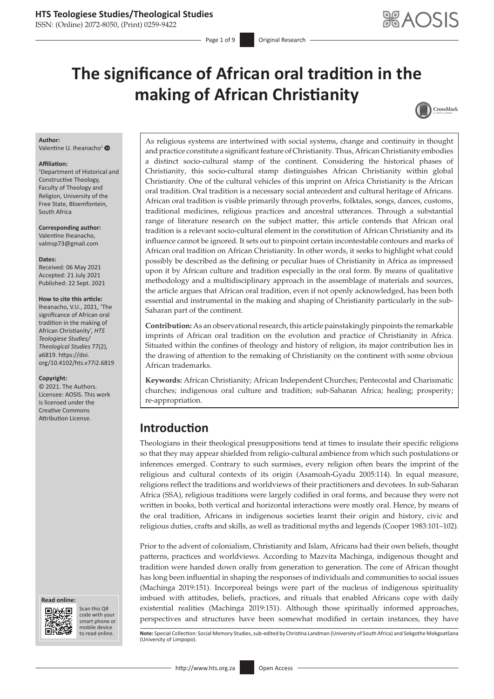ISSN: (Online) 2072-8050, (Print) 0259-9422

Page 1 of 9 **Original Research** 

# **The significance of African oral tradition in the making of African Christianity**



#### **Author:**

Valentine U. Iheanacho<sup>[1](https://orcid.org/0000-0002-1996-8527)</sup> <sup>O</sup>

#### **Affiliation:**

1 Department of Historical and Constructive Theology, Faculty of Theology and Religion, University of the Free State, Bloemfontein, South Africa

**Corresponding author:** Valentine Iheanacho, [valmsp73@gmail.com](mailto:valmsp73@gmail.com)

**Dates:** Received: 06 May 2021 Accepted: 21 July 2021 Published: 22 Sept. 2021

#### **How to cite this article:**

Iheanacho, V.U., 2021, 'The significance of African oral tradition in the making of African Christianity', *HTS Teologiese Studies/ Theological Studies* 77(2), a6819. [https://doi.](https://doi.org/10.4102/hts.v77i2.6819) [org/10.4102/hts.v77i2.6819](https://doi.org/10.4102/hts.v77i2.6819)

#### **Copyright:**

© 2021. The Authors. Licensee: AOSIS. This work is licensed under the Creative Commons Attribution License.





Scan this QR code with your Scan this QR<br>code with your<br>smart phone or<br>mobile device mobile device to read online.

As religious systems are intertwined with social systems, change and continuity in thought and practice constitute a significant feature of Christianity. Thus, African Christianity embodies a distinct socio-cultural stamp of the continent. Considering the historical phases of Christianity, this socio-cultural stamp distinguishes African Christianity within global Christianity. One of the cultural vehicles of this imprint on Africa Christianity is the African oral tradition. Oral tradition is a necessary social antecedent and cultural heritage of Africans. African oral tradition is visible primarily through proverbs, folktales, songs, dances, customs, traditional medicines, religious practices and ancestral utterances. Through a substantial range of literature research on the subject matter, this article contends that African oral tradition is a relevant socio-cultural element in the constitution of African Christianity and its influence cannot be ignored. It sets out to pinpoint certain incontestable contours and marks of African oral tradition on African Christianity. In other words, it seeks to highlight what could possibly be described as the defining or peculiar hues of Christianity in Africa as impressed upon it by African culture and tradition especially in the oral form. By means of qualitative methodology and a multidisciplinary approach in the assemblage of materials and sources, the article argues that African oral tradition, even if not openly acknowledged, has been both essential and instrumental in the making and shaping of Christianity particularly in the sub-Saharan part of the continent.

**Contribution:** As an observational research, this article painstakingly pinpoints the remarkable imprints of African oral tradition on the evolution and practice of Christianity in Africa. Situated within the confines of theology and history of religion, its major contribution lies in the drawing of attention to the remaking of Christianity on the continent with some obvious African trademarks.

**Keywords:** African Christianity; African Independent Churches; Pentecostal and Charismatic churches; indigenous oral culture and tradition; sub-Saharan Africa; healing; prosperity; re-appropriation.

# **Introduction**

Theologians in their theological presuppositions tend at times to insulate their specific religions so that they may appear shielded from religio-cultural ambience from which such postulations or inferences emerged. Contrary to such surmises, every religion often bears the imprint of the religious and cultural contexts of its origin (Asamoah-Gyadu 2005:114). In equal measure, religions reflect the traditions and worldviews of their practitioners and devotees. In sub-Saharan Africa (SSA), religious traditions were largely codified in oral forms, and because they were not written in books, both vertical and horizontal interactions were mostly oral. Hence, by means of the oral tradition, Africans in indigenous societies learnt their origin and history, civic and religious duties, crafts and skills, as well as traditional myths and legends (Cooper 1983:101–102).

Prior to the advent of colonialism, Christianity and Islam, Africans had their own beliefs, thought patterns, practices and worldviews. According to Mazvita Machinga, indigenous thought and tradition were handed down orally from generation to generation. The core of African thought has long been influential in shaping the responses of individuals and communities to social issues (Machinga 2019:151). Incorporeal beings were part of the nucleus of indigenous spirituality imbued with attitudes, beliefs, practices, and rituals that enabled Africans cope with daily existential realities (Machinga 2019:151). Although those spiritually informed approaches, perspectives and structures have been somewhat modified in certain instances, they have

Note: Special Collection: Social Memory Studies, sub-edited by Christina Landman (University of South Africa) and Sekgothe Mokgoatšana (University of Limpopo).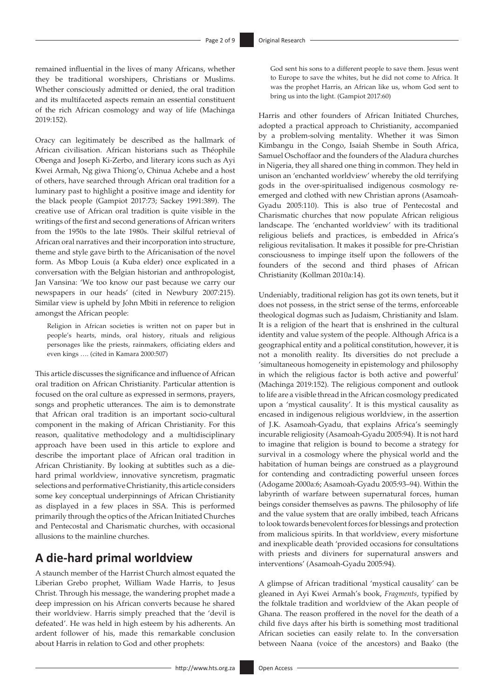remained influential in the lives of many Africans, whether they be traditional worshipers, Christians or Muslims. Whether consciously admitted or denied, the oral tradition and its multifaceted aspects remain an essential constituent of the rich African cosmology and way of life (Machinga 2019:152).

Oracy can legitimately be described as the hallmark of African civilisation. African historians such as Théophile Obenga and Joseph Ki-Zerbo, and literary icons such as Ayi Kwei Armah, Ng giwa Thiong'o, Chinua Achebe and a host of others, have searched through African oral tradition for a luminary past to highlight a positive image and identity for the black people (Gampiot 2017:73; Sackey 1991:389). The creative use of African oral tradition is quite visible in the writings of the first and second generations of African writers from the 1950s to the late 1980s. Their skilful retrieval of African oral narratives and their incorporation into structure, theme and style gave birth to the Africanisation of the novel form. As Mbop Louis (a Kuba elder) once explicated in a conversation with the Belgian historian and anthropologist, Jan Vansina: 'We too know our past because we carry our newspapers in our heads' (cited in Newbury 2007:215). Similar view is upheld by John Mbiti in reference to religion amongst the African people:

Religion in African societies is written not on paper but in people's hearts, minds, oral history, rituals and religious personages like the priests, rainmakers, officiating elders and even kings …. (cited in Kamara 2000:507)

This article discusses the significance and influence of African oral tradition on African Christianity. Particular attention is focused on the oral culture as expressed in sermons, prayers, songs and prophetic utterances. The aim is to demonstrate that African oral tradition is an important socio-cultural component in the making of African Christianity. For this reason, qualitative methodology and a multidisciplinary approach have been used in this article to explore and describe the important place of African oral tradition in African Christianity. By looking at subtitles such as a diehard primal worldview, innovative syncretism, pragmatic selections and performative Christianity, this article considers some key conceptual underpinnings of African Christianity as displayed in a few places in SSA. This is performed primarily through the optics of the African Initiated Churches and Pentecostal and Charismatic churches, with occasional allusions to the mainline churches.

# **A die-hard primal worldview**

A staunch member of the Harrist Church almost equated the Liberian Grebo prophet, William Wade Harris, to Jesus Christ. Through his message, the wandering prophet made a deep impression on his African converts because he shared their worldview. Harris simply preached that the 'devil is defeated'. He was held in high esteem by his adherents. An ardent follower of his, made this remarkable conclusion about Harris in relation to God and other prophets:

God sent his sons to a different people to save them. Jesus went to Europe to save the whites, but he did not come to Africa. It was the prophet Harris, an African like us, whom God sent to bring us into the light. (Gampiot 2017:60)

Harris and other founders of African Initiated Churches, adopted a practical approach to Christianity, accompanied by a problem-solving mentality. Whether it was Simon Kimbangu in the Congo, Isaiah Shembe in South Africa, Samuel Oschoffaor and the founders of the Aladura churches in Nigeria, they all shared one thing in common. They held in unison an 'enchanted worldview' whereby the old terrifying gods in the over-spiritualised indigenous cosmology reemerged and clothed with new Christian aprons (Asamoah-Gyadu 2005:110). This is also true of Pentecostal and Charismatic churches that now populate African religious landscape. The 'enchanted worldview' with its traditional religious beliefs and practices, is embedded in Africa's religious revitalisation. It makes it possible for pre-Christian consciousness to impinge itself upon the followers of the founders of the second and third phases of African Christianity (Kollman 2010a:14).

Undeniably, traditional religion has got its own tenets, but it does not possess, in the strict sense of the terms, enforceable theological dogmas such as Judaism, Christianity and Islam. It is a religion of the heart that is enshrined in the cultural identity and value system of the people. Although Africa is a geographical entity and a political constitution, however, it is not a monolith reality. Its diversities do not preclude a 'simultaneous homogeneity in epistemology and philosophy in which the religious factor is both active and powerful' (Machinga 2019:152). The religious component and outlook to life are a visible thread in the African cosmology predicated upon a 'mystical causality'. It is this mystical causality as encased in indigenous religious worldview, in the assertion of J.K. Asamoah-Gyadu, that explains Africa's seemingly incurable religiosity (Asamoah-Gyadu 2005:94). It is not hard to imagine that religion is bound to become a strategy for survival in a cosmology where the physical world and the habitation of human beings are construed as a playground for contending and contradicting powerful unseen forces (Adogame 2000a:6; Asamoah-Gyadu 2005:93–94). Within the labyrinth of warfare between supernatural forces, human beings consider themselves as pawns. The philosophy of life and the value system that are orally imbibed, teach Africans to look towards benevolent forces for blessings and protection from malicious spirits. In that worldview, every misfortune and inexplicable death 'provided occasions for consultations with priests and diviners for supernatural answers and interventions' (Asamoah-Gyadu 2005:94).

A glimpse of African traditional 'mystical causality' can be gleaned in Ayi Kwei Armah's book, *Fragments*, typified by the folktale tradition and worldview of the Akan people of Ghana. The reason proffered in the novel for the death of a child five days after his birth is something most traditional African societies can easily relate to. In the conversation between Naana (voice of the ancestors) and Baako (the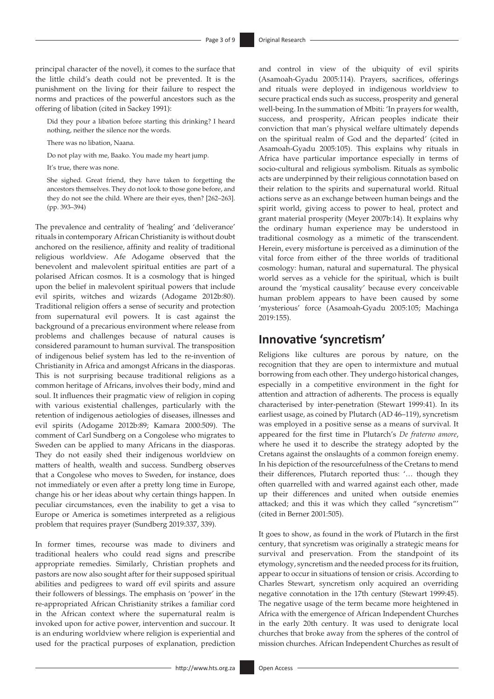principal character of the novel), it comes to the surface that the little child's death could not be prevented. It is the punishment on the living for their failure to respect the norms and practices of the powerful ancestors such as the offering of libation (cited in Sackey 1991):

Did they pour a libation before starting this drinking? I heard nothing, neither the silence nor the words.

There was no libation, Naana.

Do not play with me, Baako. You made my heart jump.

It's true, there was none.

She sighed. Great friend, they have taken to forgetting the ancestors themselves. They do not look to those gone before, and they do not see the child. Where are their eyes, then? [262–263]. (pp. 393–394)

The prevalence and centrality of 'healing' and 'deliverance' rituals in contemporary African Christianity is without doubt anchored on the resilience, affinity and reality of traditional religious worldview. Afe Adogame observed that the benevolent and malevolent spiritual entities are part of a polarised African cosmos. It is a cosmology that is hinged upon the belief in malevolent spiritual powers that include evil spirits, witches and wizards (Adogame 2012b:80). Traditional religion offers a sense of security and protection from supernatural evil powers. It is cast against the background of a precarious environment where release from problems and challenges because of natural causes is considered paramount to human survival. The transposition of indigenous belief system has led to the re-invention of Christianity in Africa and amongst Africans in the diasporas. This is not surprising because traditional religions as a common heritage of Africans, involves their body, mind and soul. It influences their pragmatic view of religion in coping with various existential challenges, particularly with the retention of indigenous aetiologies of diseases, illnesses and evil spirits (Adogame 2012b:89; Kamara 2000:509). The comment of Carl Sundberg on a Congolese who migrates to Sweden can be applied to many Africans in the diasporas. They do not easily shed their indigenous worldview on matters of health, wealth and success. Sundberg observes that a Congolese who moves to Sweden, for instance, does not immediately or even after a pretty long time in Europe, change his or her ideas about why certain things happen. In peculiar circumstances, even the inability to get a visa to Europe or America is sometimes interpreted as a religious problem that requires prayer (Sundberg 2019:337, 339).

In former times, recourse was made to diviners and traditional healers who could read signs and prescribe appropriate remedies. Similarly, Christian prophets and pastors are now also sought after for their supposed spiritual abilities and pedigrees to ward off evil spirits and assure their followers of blessings. The emphasis on 'power' in the re-appropriated African Christianity strikes a familiar cord in the African context where the supernatural realm is invoked upon for active power, intervention and succour. It is an enduring worldview where religion is experiential and used for the practical purposes of explanation, prediction and control in view of the ubiquity of evil spirits (Asamoah-Gyadu 2005:114). Prayers, sacrifices, offerings and rituals were deployed in indigenous worldview to secure practical ends such as success, prosperity and general well-being. In the summation of Mbiti: 'In prayers for wealth, success, and prosperity, African peoples indicate their conviction that man's physical welfare ultimately depends on the spiritual realm of God and the departed' (cited in Asamoah-Gyadu 2005:105). This explains why rituals in Africa have particular importance especially in terms of socio-cultural and religious symbolism. Rituals as symbolic acts are underpinned by their religious connotation based on their relation to the spirits and supernatural world. Ritual actions serve as an exchange between human beings and the spirit world, giving access to power to heal, protect and grant material prosperity (Meyer 2007b:14). It explains why the ordinary human experience may be understood in traditional cosmology as a mimetic of the transcendent. Herein, every misfortune is perceived as a diminution of the vital force from either of the three worlds of traditional cosmology: human, natural and supernatural. The physical world serves as a vehicle for the spiritual, which is built around the 'mystical causality' because every conceivable human problem appears to have been caused by some 'mysterious' force (Asamoah-Gyadu 2005:105; Machinga 2019:155).

### **Innovative 'syncretism'**

Religions like cultures are porous by nature, on the recognition that they are open to intermixture and mutual borrowing from each other. They undergo historical changes, especially in a competitive environment in the fight for attention and attraction of adherents. The process is equally characterised by inter-penetration (Stewart 1999:41). In its earliest usage, as coined by Plutarch (AD 46–119), syncretism was employed in a positive sense as a means of survival. It appeared for the first time in Plutarch's *De fraterno amore*, where he used it to describe the strategy adopted by the Cretans against the onslaughts of a common foreign enemy. In his depiction of the resourcefulness of the Cretans to mend their differences, Plutarch reported thus: '… though they often quarrelled with and warred against each other, made up their differences and united when outside enemies attacked; and this it was which they called "syncretism"' (cited in Berner 2001:505).

It goes to show, as found in the work of Plutarch in the first century, that syncretism was originally a strategic means for survival and preservation. From the standpoint of its etymology, syncretism and the needed process for its fruition, appear to occur in situations of tension or crisis. According to Charles Stewart, syncretism only acquired an overriding negative connotation in the 17th century (Stewart 1999:45). The negative usage of the term became more heightened in Africa with the emergence of African Independent Churches in the early 20th century. It was used to denigrate local churches that broke away from the spheres of the control of mission churches. African Independent Churches as result of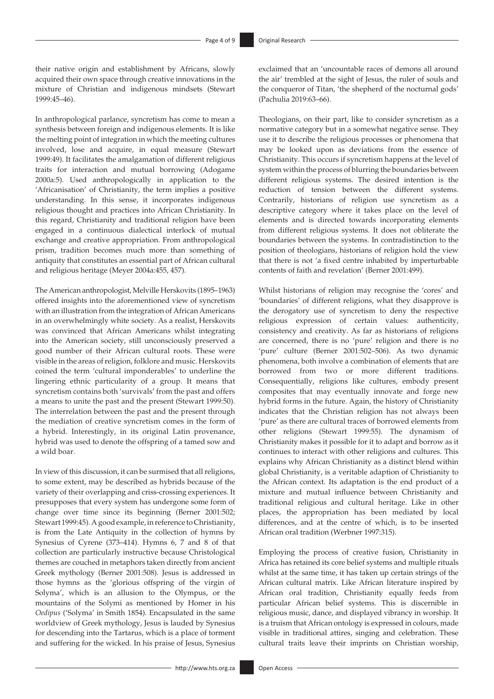their native origin and establishment by Africans, slowly acquired their own space through creative innovations in the mixture of Christian and indigenous mindsets (Stewart 1999:45–46).

In anthropological parlance, syncretism has come to mean a synthesis between foreign and indigenous elements. It is like the melting point of integration in which the meeting cultures involved, lose and acquire, in equal measure (Stewart 1999:49). It facilitates the amalgamation of different religious traits for interaction and mutual borrowing (Adogame 2000a:5). Used anthropologically in application to the 'Africanisation' of Christianity, the term implies a positive understanding. In this sense, it incorporates indigenous religious thought and practices into African Christianity. In this regard, Christianity and traditional religion have been engaged in a continuous dialectical interlock of mutual exchange and creative appropriation. From anthropological prism, tradition becomes much more than something of antiquity that constitutes an essential part of African cultural and religious heritage (Meyer 2004a:455, 457).

The American anthropologist, Melville Herskovits (1895–1963) offered insights into the aforementioned view of syncretism with an illustration from the integration of African Americans in an overwhelmingly white society. As a realist, Herskovits was convinced that African Americans whilst integrating into the American society, still unconsciously preserved a good number of their African cultural roots. These were visible in the areas of religion, folklore and music. Herskovits coined the term 'cultural imponderables' to underline the lingering ethnic particularity of a group. It means that syncretism contains both 'survivals' from the past and offers a means to unite the past and the present (Stewart 1999:50). The interrelation between the past and the present through the mediation of creative syncretism comes in the form of a hybrid. Interestingly, in its original Latin provenance, hybrid was used to denote the offspring of a tamed sow and a wild boar.

In view of this discussion, it can be surmised that all religions, to some extent, may be described as hybrids because of the variety of their overlapping and criss-crossing experiences. It presupposes that every system has undergone some form of change over time since its beginning (Berner 2001:502; Stewart 1999:45). A good example, in reference to Christianity, is from the Late Antiquity in the collection of hymns by Synesius of Cyrene (373–414). Hymns 6, 7 and 8 of that collection are particularly instructive because Christological themes are couched in metaphors taken directly from ancient Greek mythology (Berner 2001:508). Jesus is addressed in those hymns as the 'glorious offspring of the virgin of Solyma', which is an allusion to the Olympus, or the mountains of the Solymi as mentioned by Homer in his *Oedipus* ('Solyma' in Smith 1854). Encapsulated in the same worldview of Greek mythology, Jesus is lauded by Synesius for descending into the Tartarus, which is a place of torment and suffering for the wicked. In his praise of Jesus, Synesius exclaimed that an 'uncountable races of demons all around the air' trembled at the sight of Jesus, the ruler of souls and the conqueror of Titan, 'the shepherd of the nocturnal gods' (Pachulia 2019:63–66).

Theologians, on their part, like to consider syncretism as a normative category but in a somewhat negative sense. They use it to describe the religious processes or phenomena that may be looked upon as deviations from the essence of Christianity. This occurs if syncretism happens at the level of system within the process of blurring the boundaries between different religious systems. The desired intention is the reduction of tension between the different systems. Contrarily, historians of religion use syncretism as a descriptive category where it takes place on the level of elements and is directed towards incorporating elements from different religious systems. It does not obliterate the boundaries between the systems. In contradistinction to the position of theologians, historians of religion hold the view that there is not 'a fixed centre inhabited by imperturbable contents of faith and revelation' (Berner 2001:499).

Whilst historians of religion may recognise the 'cores' and 'boundaries' of different religions, what they disapprove is the derogatory use of syncretism to deny the respective religious expression of certain values: authenticity, consistency and creativity. As far as historians of religions are concerned, there is no 'pure' religion and there is no 'pure' culture (Berner 2001:502–506). As two dynamic phenomena, both involve a combination of elements that are borrowed from two or more different traditions. Consequentially, religions like cultures, embody present composites that may eventually innovate and forge new hybrid forms in the future. Again, the history of Christianity indicates that the Christian religion has not always been 'pure' as there are cultural traces of borrowed elements from other religions (Stewart 1999:55). The dynamism of Christianity makes it possible for it to adapt and borrow as it continues to interact with other religions and cultures. This explains why African Christianity as a distinct blend within global Christianity, is a veritable adaption of Christianity to the African context. Its adaptation is the end product of a mixture and mutual influence between Christianity and traditional religious and cultural heritage. Like in other places, the appropriation has been mediated by local differences, and at the centre of which, is to be inserted African oral tradition (Werbner 1997:315).

Employing the process of creative fusion, Christianity in Africa has retained its core belief systems and multiple rituals whilst at the same time, it has taken up certain strings of the African cultural matrix. Like African literature inspired by African oral tradition, Christianity equally feeds from particular African belief systems. This is discernible in religious music, dance, and displayed vibrancy in worship. It is a truism that African ontology is expressed in colours, made visible in traditional attires, singing and celebration. These cultural traits leave their imprints on Christian worship,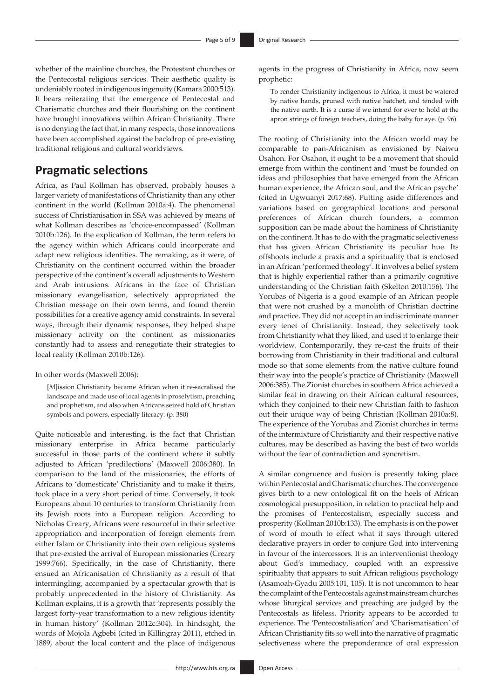whether of the mainline churches, the Protestant churches or the Pentecostal religious services. Their aesthetic quality is undeniably rooted in indigenous ingenuity (Kamara 2000:513). It bears reiterating that the emergence of Pentecostal and Charismatic churches and their flourishing on the continent have brought innovations within African Christianity. There is no denying the fact that, in many respects, those innovations have been accomplished against the backdrop of pre-existing traditional religious and cultural worldviews.

### **Pragmatic selections**

Africa, as Paul Kollman has observed, probably houses a larger variety of manifestations of Christianity than any other continent in the world (Kollman 2010a:4). The phenomenal success of Christianisation in SSA was achieved by means of what Kollman describes as 'choice-encompassed' (Kollman 2010b:126). In the explication of Kollman, the term refers to the agency within which Africans could incorporate and adapt new religious identities. The remaking, as it were, of Christianity on the continent occurred within the broader perspective of the continent's overall adjustments to Western and Arab intrusions. Africans in the face of Christian missionary evangelisation, selectively appropriated the Christian message on their own terms, and found therein possibilities for a creative agency amid constraints. In several ways, through their dynamic responses, they helped shape missionary activity on the continent as missionaries constantly had to assess and renegotiate their strategies to local reality (Kollman 2010b:126).

In other words (Maxwell 2006):

[*M*]ission Christianity became African when it re-sacralised the landscape and made use of local agents in proselytism, preaching and prophetism, and also when Africans seized hold of Christian symbols and powers, especially literacy. (p. 380)

Quite noticeable and interesting, is the fact that Christian missionary enterprise in Africa became particularly successful in those parts of the continent where it subtly adjusted to African 'predilections' (Maxwell 2006:380). In comparison to the land of the missionaries, the efforts of Africans to 'domesticate' Christianity and to make it theirs, took place in a very short period of time. Conversely, it took Europeans about 10 centuries to transform Christianity from its Jewish roots into a European religion. According to Nicholas Creary, Africans were resourceful in their selective appropriation and incorporation of foreign elements from either Islam or Christianity into their own religious systems that pre-existed the arrival of European missionaries (Creary 1999:766). Specifically, in the case of Christianity, there ensued an Africanisation of Christianity as a result of that intermingling, accompanied by a spectacular growth that is probably unprecedented in the history of Christianity. As Kollman explains, it is a growth that 'represents possibly the largest forty-year transformation to a new religious identity in human history' (Kollman 2012c:304). In hindsight, the words of Mojola Agbebi (cited in Killingray 2011), etched in 1889, about the local content and the place of indigenous

agents in the progress of Christianity in Africa, now seem prophetic:

To render Christianity indigenous to Africa, it must be watered by native hands, pruned with native hatchet, and tended with the native earth. It is a curse if we intend for ever to hold at the apron strings of foreign teachers, doing the baby for aye. (p. 96)

The rooting of Christianity into the African world may be comparable to pan-Africanism as envisioned by Naiwu Osahon. For Osahon, it ought to be a movement that should emerge from within the continent and 'must be founded on ideas and philosophies that have emerged from the African human experience, the African soul, and the African psyche' (cited in Ugwuanyi 2017:68). Putting aside differences and variations based on geographical locations and personal preferences of African church founders, a common supposition can be made about the hominess of Christianity on the continent. It has to do with the pragmatic selectiveness that has given African Christianity its peculiar hue. Its offshoots include a praxis and a spirituality that is enclosed in an African 'performed theology'. It involves a belief system that is highly experiential rather than a primarily cognitive understanding of the Christian faith (Skelton 2010:156). The Yorubas of Nigeria is a good example of an African people that were not crushed by a monolith of Christian doctrine and practice. They did not accept in an indiscriminate manner every tenet of Christianity. Instead, they selectively took from Christianity what they liked, and used it to enlarge their worldview. Contemporarily, they re-cast the fruits of their borrowing from Christianity in their traditional and cultural mode so that some elements from the native culture found their way into the people's practice of Christianity (Maxwell 2006:385). The Zionist churches in southern Africa achieved a similar feat in drawing on their African cultural resources, which they conjoined to their new Christian faith to fashion out their unique way of being Christian (Kollman 2010a:8). The experience of the Yorubas and Zionist churches in terms of the intermixture of Christianity and their respective native cultures, may be described as having the best of two worlds without the fear of contradiction and syncretism.

A similar congruence and fusion is presently taking place within Pentecostal and Charismatic churches. The convergence gives birth to a new ontological fit on the heels of African cosmological presupposition, in relation to practical help and the promises of Pentecostalism, especially success and prosperity (Kollman 2010b:133). The emphasis is on the power of word of mouth to effect what it says through uttered declarative prayers in order to conjure God into intervening in favour of the intercessors. It is an interventionist theology about God's immediacy, coupled with an expressive spirituality that appears to suit African religious psychology (Asamoah-Gyadu 2005:101, 105). It is not uncommon to hear the complaint of the Pentecostals against mainstream churches whose liturgical services and preaching are judged by the Pentecostals as lifeless. Priority appears to be accorded to experience. The 'Pentecostalisation' and 'Charismatisation' of African Christianity fits so well into the narrative of pragmatic selectiveness where the preponderance of oral expression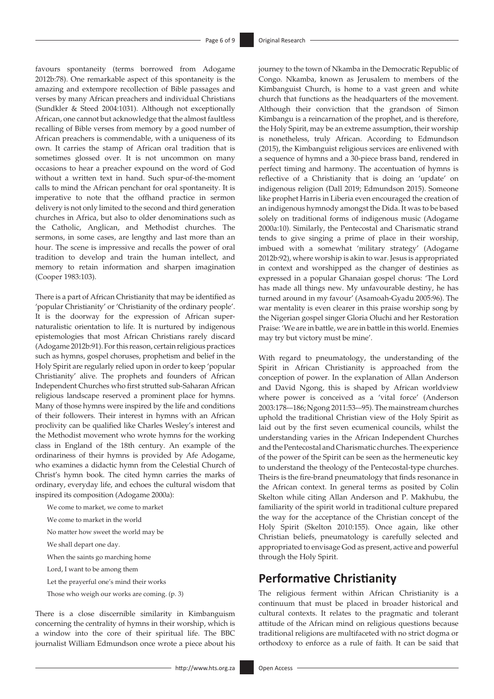favours spontaneity (terms borrowed from Adogame 2012b:78). One remarkable aspect of this spontaneity is the amazing and extempore recollection of Bible passages and verses by many African preachers and individual Christians (Sundkler & Steed 2004:1031). Although not exceptionally African, one cannot but acknowledge that the almost faultless recalling of Bible verses from memory by a good number of African preachers is commendable, with a uniqueness of its own. It carries the stamp of African oral tradition that is sometimes glossed over. It is not uncommon on many occasions to hear a preacher expound on the word of God without a written text in hand. Such spur-of-the-moment calls to mind the African penchant for oral spontaneity. It is imperative to note that the offhand practice in sermon delivery is not only limited to the second and third generation churches in Africa, but also to older denominations such as the Catholic, Anglican, and Methodist churches. The sermons, in some cases, are lengthy and last more than an hour. The scene is impressive and recalls the power of oral tradition to develop and train the human intellect, and memory to retain information and sharpen imagination (Cooper 1983:103).

There is a part of African Christianity that may be identified as 'popular Christianity' or 'Christianity of the ordinary people'. It is the doorway for the expression of African supernaturalistic orientation to life. It is nurtured by indigenous epistemologies that most African Christians rarely discard (Adogame 2012b:91). For this reason, certain religious practices such as hymns, gospel choruses, prophetism and belief in the Holy Spirit are regularly relied upon in order to keep 'popular Christianity' alive. The prophets and founders of African Independent Churches who first strutted sub-Saharan African religious landscape reserved a prominent place for hymns. Many of those hymns were inspired by the life and conditions of their followers. Their interest in hymns with an African proclivity can be qualified like Charles Wesley's interest and the Methodist movement who wrote hymns for the working class in England of the 18th century. An example of the ordinariness of their hymns is provided by Afe Adogame, who examines a didactic hymn from the Celestial Church of Christ's hymn book. The cited hymn carries the marks of ordinary, everyday life, and echoes the cultural wisdom that inspired its composition (Adogame 2000a):

We come to market, we come to market

We come to market in the world

No matter how sweet the world may be

We shall depart one day.

When the saints go marching home

Lord, I want to be among them

Let the prayerful one's mind their works

Those who weigh our works are coming. (p. 3)

There is a close discernible similarity in Kimbanguism concerning the centrality of hymns in their worship, which is a window into the core of their spiritual life. The BBC journalist William Edmundson once wrote a piece about his

- <http://www.hts.org.za> **Open Access** 

journey to the town of Nkamba in the Democratic Republic of Congo. Nkamba, known as Jerusalem to members of the Kimbanguist Church, is home to a vast green and white church that functions as the headquarters of the movement. Although their conviction that the grandson of Simon Kimbangu is a reincarnation of the prophet, and is therefore, the Holy Spirit, may be an extreme assumption, their worship is nonetheless, truly African. According to Edmundson (2015), the Kimbanguist religious services are enlivened with a sequence of hymns and a 30-piece brass band, rendered in perfect timing and harmony. The accentuation of hymns is reflective of a Christianity that is doing an 'update' on indigenous religion (Dall 2019; Edmundson 2015). Someone like prophet Harris in Liberia even encouraged the creation of an indigenous hymnody amongst the Dida. It was to be based solely on traditional forms of indigenous music (Adogame 2000a:10). Similarly, the Pentecostal and Charismatic strand tends to give singing a prime of place in their worship, imbued with a somewhat 'military strategy' (Adogame 2012b:92), where worship is akin to war. Jesus is appropriated in context and worshipped as the changer of destinies as expressed in a popular Ghanaian gospel chorus: 'The Lord has made all things new. My unfavourable destiny, he has turned around in my favour' (Asamoah-Gyadu 2005:96). The war mentality is even clearer in this praise worship song by the Nigerian gospel singer Gloria Oluchi and her Restoration Praise: 'We are in battle, we are in battle in this world. Enemies may try but victory must be mine'.

With regard to pneumatology, the understanding of the Spirit in African Christianity is approached from the conception of power. In the explanation of Allan Anderson and David Ngong, this is shaped by African worldview where power is conceived as a 'vital force' (Anderson 2003:178-–186; Ngong 2011:53-–95). The mainstream churches uphold the traditional Christian view of the Holy Spirit as laid out by the first seven ecumenical councils, whilst the understanding varies in the African Independent Churches and the Pentecostal and Charismatic churches. The experience of the power of the Spirit can be seen as the hermeneutic key to understand the theology of the Pentecostal-type churches. Theirs is the fire-brand pneumatology that finds resonance in the African context. In general terms as posited by Colin Skelton while citing Allan Anderson and P. Makhubu, the familiarity of the spirit world in traditional culture prepared the way for the acceptance of the Christian concept of the Holy Spirit (Skelton 2010:155). Once again, like other Christian beliefs, pneumatology is carefully selected and appropriated to envisage God as present, active and powerful through the Holy Spirit.

# **Performative Christianity**

The religious ferment within African Christianity is a continuum that must be placed in broader historical and cultural contexts. It relates to the pragmatic and tolerant attitude of the African mind on religious questions because traditional religions are multifaceted with no strict dogma or orthodoxy to enforce as a rule of faith. It can be said that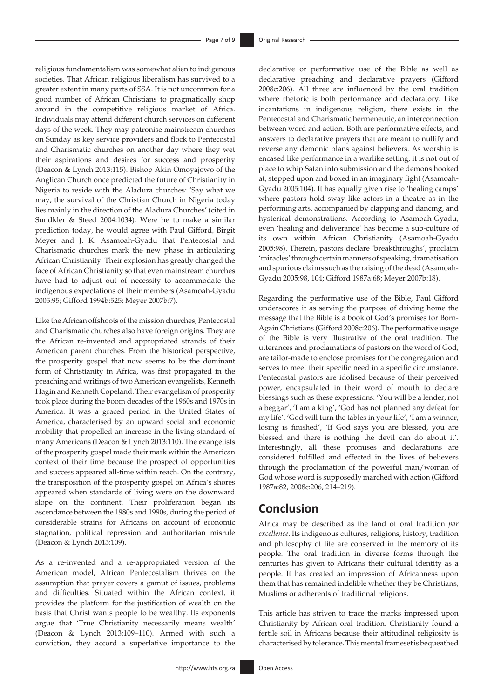religious fundamentalism was somewhat alien to indigenous societies. That African religious liberalism has survived to a greater extent in many parts of SSA. It is not uncommon for a good number of African Christians to pragmatically shop around in the competitive religious market of Africa. Individuals may attend different church services on different days of the week. They may patronise mainstream churches on Sunday as key service providers and flock to Pentecostal and Charismatic churches on another day where they wet their aspirations and desires for success and prosperity (Deacon & Lynch 2013:115). Bishop Akin Omoyajowo of the Anglican Church once predicted the future of Christianity in Nigeria to reside with the Aladura churches: 'Say what we may, the survival of the Christian Church in Nigeria today lies mainly in the direction of the Aladura Churches' (cited in Sundkler & Steed 2004:1034). Were he to make a similar prediction today, he would agree with Paul Gifford, Birgit Meyer and J. K. Asamoah-Gyadu that Pentecostal and Charismatic churches mark the new phase in articulating African Christianity. Their explosion has greatly changed the face of African Christianity so that even mainstream churches have had to adjust out of necessity to accommodate the indigenous expectations of their members (Asamoah-Gyadu 2005:95; Gifford 1994b:525; Meyer 2007b:7).

Like the African offshoots of the mission churches, Pentecostal and Charismatic churches also have foreign origins. They are the African re-invented and appropriated strands of their American parent churches. From the historical perspective, the prosperity gospel that now seems to be the dominant form of Christianity in Africa, was first propagated in the preaching and writings of two American evangelists, Kenneth Hagin and Kenneth Copeland. Their evangelism of prosperity took place during the boom decades of the 1960s and 1970s in America. It was a graced period in the United States of America, characterised by an upward social and economic mobility that propelled an increase in the living standard of many Americans (Deacon & Lynch 2013:110). The evangelists of the prosperity gospel made their mark within the American context of their time because the prospect of opportunities and success appeared all-time within reach. On the contrary, the transposition of the prosperity gospel on Africa's shores appeared when standards of living were on the downward slope on the continent. Their proliferation began its ascendance between the 1980s and 1990s, during the period of considerable strains for Africans on account of economic stagnation, political repression and authoritarian misrule (Deacon & Lynch 2013:109).

As a re-invented and a re-appropriated version of the American model, African Pentecostalism thrives on the assumption that prayer covers a gamut of issues, problems and difficulties. Situated within the African context, it provides the platform for the justification of wealth on the basis that Christ wants people to be wealthy. Its exponents argue that 'True Christianity necessarily means wealth' (Deacon & Lynch 2013:109–110). Armed with such a conviction, they accord a superlative importance to the declarative or performative use of the Bible as well as declarative preaching and declarative prayers (Gifford 2008c:206). All three are influenced by the oral tradition where rhetoric is both performance and declaratory. Like incantations in indigenous religion, there exists in the Pentecostal and Charismatic hermeneutic, an interconnection between word and action. Both are performative effects, and answers to declarative prayers that are meant to nullify and reverse any demonic plans against believers. As worship is encased like performance in a warlike setting, it is not out of place to whip Satan into submission and the demons hooked at, stepped upon and boxed in an imaginary fight (Asamoah-Gyadu 2005:104). It has equally given rise to 'healing camps' where pastors hold sway like actors in a theatre as in the performing arts, accompanied by clapping and dancing, and hysterical demonstrations. According to Asamoah-Gyadu, even 'healing and deliverance' has become a sub-culture of its own within African Christianity (Asamoah-Gyadu 2005:98). Therein, pastors declare 'breakthroughs', proclaim 'miracles' through certain manners of speaking, dramatisation and spurious claims such as the raising of the dead (Asamoah-Gyadu 2005:98, 104; Gifford 1987a:68; Meyer 2007b:18).

Regarding the performative use of the Bible, Paul Gifford underscores it as serving the purpose of driving home the message that the Bible is a book of God's promises for Born-Again Christians (Gifford 2008c:206). The performative usage of the Bible is very illustrative of the oral tradition. The utterances and proclamations of pastors on the word of God, are tailor-made to enclose promises for the congregation and serves to meet their specific need in a specific circumstance. Pentecostal pastors are idolised because of their perceived power, encapsulated in their word of mouth to declare blessings such as these expressions: 'You will be a lender, not a beggar', 'I am a king', 'God has not planned any defeat for my life', 'God will turn the tables in your life', 'I am a winner, losing is finished', 'If God says you are blessed, you are blessed and there is nothing the devil can do about it'. Interestingly, all these promises and declarations are considered fulfilled and effected in the lives of believers through the proclamation of the powerful man/woman of God whose word is supposedly marched with action (Gifford 1987a:82, 2008c:206, 214–219).

# **Conclusion**

Africa may be described as the land of oral tradition *par excellence*. Its indigenous cultures, religions, history, tradition and philosophy of life are conserved in the memory of its people. The oral tradition in diverse forms through the centuries has given to Africans their cultural identity as a people. It has created an impression of Africanness upon them that has remained indelible whether they be Christians, Muslims or adherents of traditional religions.

This article has striven to trace the marks impressed upon Christianity by African oral tradition. Christianity found a fertile soil in Africans because their attitudinal religiosity is characterised by tolerance. This mental frameset is bequeathed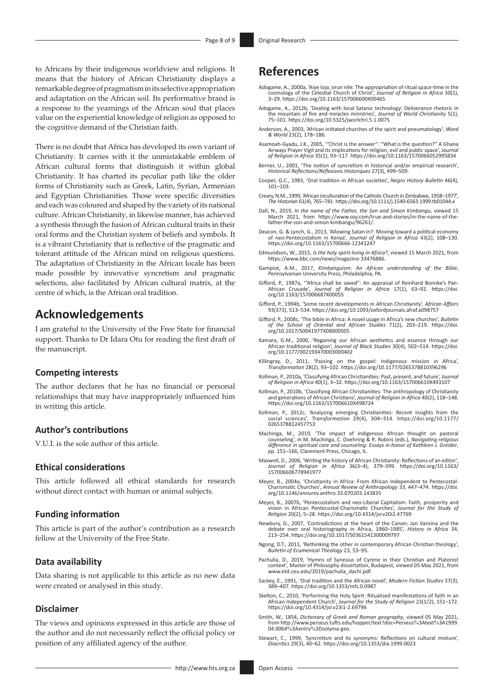to Africans by their indigenous worldview and religions. It means that the history of African Christianity displays a remarkable degree of pragmatism in its selective appropriation and adaptation on the African soil. Its performative brand is a response to the yearnings of the African soul that places value on the experiential knowledge of religion as opposed to the cognitive demand of the Christian faith.

There is no doubt that Africa has developed its own variant of Christianity. It carries with it the unmistakable emblem of African cultural forms that distinguish it within global Christianity. It has charted its peculiar path like the older forms of Christianity such as Greek, Latin, Syrian, Armenian and Egyptian Christianities. Those were specific diversities and each was coloured and shaped by the variety of its national culture. African Christianity, in likewise manner, has achieved a synthesis through the fusion of African cultural traits in their oral forms and the Christian system of beliefs and symbols. It is a vibrant Christianity that is reflective of the pragmatic and tolerant attitude of the African mind on religious questions. The adaptation of Christianity in the African locale has been made possible by innovative syncretism and pragmatic selections, also facilitated by African cultural matrix, at the centre of which, is the African oral tradition.

# **Acknowledgements**

I am grateful to the University of the Free State for financial support. Thanks to Dr Idara Otu for reading the first draft of the manuscript.

#### **Competing interests**

The author declares that he has no financial or personal relationships that may have inappropriately influenced him in writing this article.

### **Author's contributions**

V.U.I. is the sole author of this article.

#### **Ethical considerations**

This article followed all ethical standards for research without direct contact with human or animal subjects.

### **Funding information**

This article is part of the author's contribution as a research fellow at the University of the Free State.

#### **Data availability**

Data sharing is not applicable to this article as no new data were created or analysed in this study.

#### **Disclaimer**

The views and opinions expressed in this article are those of the author and do not necessarily reflect the official policy or position of any affiliated agency of the author.

# **References**

- Adogame, A., 2000a, 'Aiye loja, orun nile: The appropriation of ritual space-time in the cosmology of the Celestial Church of Christ', *Journal of Religion in Africa* 30(1), 3–29. <https://doi.org/10.1163/157006600X00465>
- Adogame, A., 2012b, 'Dealing with local Satanic technology: Deliverance rhetoric in the mountain of fire and miracles ministries', *Journal of World Christianity* 5(1), 75–101. <https://doi.org/10.5325/jworlchri.5.1.0075>
- Anderson, A., 2003, 'African initiated churches of the spirit and pneumatology', *Word & World* 23(2), 178–186.
- Asamoah-Gyadu, J.K., 2005, '"Christ is the answer": "What is the question?" A Ghana Airways Prayer Vigil and its implications for religion, evil and public space', *Journal of Religion in Africa* 35(1), 93–117.<https://doi.org/10.1163/1570066052995834>
- Berner, U., 2001, 'The notion of syncretism in historical and/or empirical research', *Historical Reflections/Réflexions Historiques* 27(3), 499–509.
- Cooper, G.C., 1983, 'Oral tradition in African societies', *Negro History Bulletin* 46(4),  $101 - 103$ .
- Creary, N.M., 1999, 'African inculturation of the Catholic Church in Zimbabwe, 1958–1977', *The Historian* 61(4), 765–781.<https://doi.org/10.1111/j.1540-6563.1999.tb01044.x>
- Dall, N., 2019, *In the name of the Father, the Son and Simon Kimbangu*, viewed 15 March 2021, from [https://www.ozy.com/true-and-stories/in-the-name-of-the](https://www.ozy.com/true-and-stories/in-the-name-of-the-father-the-son-and-simon-kimbangu/96261/)[father-the-son-and-simon-kimbangu/96261/.](https://www.ozy.com/true-and-stories/in-the-name-of-the-father-the-son-and-simon-kimbangu/96261/)
- Deacon, G. & Lynch, G., 2013, 'Allowing Satan in?: Moving toward a political economy of neo-Pentecostalism in Kenya', *Journal of Religion in Africa* 43(2), 108–130. <https://doi.org/10.1163/15700666-12341247>
- Edmundson**,** W., 2015, *Is the holy spirit living in Africa?*, viewed 15 March 2021, from <https://www.bbc.com/news/magazine-33476886>.
- Gampiot, A.M., 2017, *Kimbanguism: An African understanding of the Bible*, Pennsylvanian University Press, Philadelphia, PA.
- Gifford, P., 1987a, '"Africa shall be saved": An appraisal of Reinhard Bonnke's Pan-African Crusade', *Journal of Religion in Africa* 17(1), 63–92. [https://doi.](https://doi.org/10.1163/157006687X00055) [org/10.1163/157006687X00055](https://doi.org/10.1163/157006687X00055)
- Gifford, P., 1994b, 'Some recent developments in African Christianity', *African Affairs* 93(373), 513–534. <https://doi.org/10.1093/oxfordjournals.afraf.a098757>
- Gifford, P., 2008c, 'The bible in Africa: A novel usage in Africa's new churches', *Bulletin of the School of Oriental and African Studies* 71(2), 203–219. [https://doi.](https://doi.org/10.1017/S0041977X08000505) [org/10.1017/S0041977X08000505](https://doi.org/10.1017/S0041977X08000505)
- Kamara, G.M., 2000, 'Regaining our African aesthetics and essence through our African traditional religion', *Journal of Black Studies* 30(4), 502–514. [https://doi.](https://doi.org/10.1177/002193470003000402) [org/10.1177/002193470003000402](https://doi.org/10.1177/002193470003000402)
- Killingray, D., 2011, 'Passing on the gospel: Indigenous mission in Africa', *Transformation* 28(2), 93–102.<https://doi.org/10.1177/0265378810396296>
- Kollman, P., 2010a, 'Classifying African Christianities: Past, present, and future', *Journal of Religion in Africa* 40(1), 3–32.<https://doi.org/10.1163/157006610X493107>
- Kollman, P., 2010b, 'Classifying African Christianities: The anthropology of Christianity and generations of African Christians', *Journal of Religion in Africa* 40(2), 118–148. <https://doi.org/10.1163/157006610X498724>
- Kollman, P., 2012c, 'Analyzing emerging Christianities: Recent insights from the social sciences', *Transformation* 29(4), 304–314. [https://doi.org/10.1177/](https://doi.org/10.1177/​0265378812457753) [0265378812457753](https://doi.org/10.1177/​0265378812457753)
- Machinga, M., 2019, 'The impact of indigenous African thought on pastoral counseling', in M. Machinga, C. Doehring & R. Robins (eds.)*, Navigating religious difference in spiritual care and counseling: Essays in honor of Kathleen J. Greider*, pp. 151–166, Claremont Press, Chicago, IL.
- Maxwell, D., 2006, 'Writing the history of African Christianity: Reflections of an editor', *Journal of Religion in Africa* 36(3–4), 379–399. [https://doi.org/10.1163/](https://doi.org/10.1163/​157006606778941977) [157006606778941977](https://doi.org/10.1163/​157006606778941977)
- Meyer, B., 2004a, 'Christianity in Africa: From African Independent to Pentecostal-Charismatic Churches', *Annual Review of Anthropology* 33, 447–474. [https://doi.](https://doi.org/10.1146/annurev.anthro.33.070203.143835) [org/10.1146/annurev.anthro.33.070203.143835](https://doi.org/10.1146/annurev.anthro.33.070203.143835)
- Meyer, B., 2007b, 'Pentecostalism and neo-Liberal Capitalism: Faith, prosperity and vision in African Pentecostal-Charismatic Churches', *Journal for the Study of Religion* 20(2), 5–28.<https://doi.org/10.4314/jsr.v20i2.47769>
- Newbury, D., 2007, 'Contradictions at the heart of the Canon: Jan Vansina and the debate over oral historiography in Africa, 1960–1985', *History in Africa* 34, 213–254.<https://doi.org/10.1017/S0361541300009797>
- Ngong, D.T., 2011, 'Rethinking the other in contemporary African Christian theology', *Bulletin of Ecumenical Theology* 23, 53–95.
- Pachulia, D., 2019, 'Hymns of Synesius of Cyrene in their Christian and Platonist context', Master of Philosophy dissertation, Budapest, viewed 05 May 2021, from [www.etd.ceu.edu/2019/pachulia\\_dachi.pdf.](www.etd.ceu.edu/2019/pachulia_dachi.pdf.)
- Sackey, E., 1991, 'Oral tradition and the African novel', *Modern Fiction Studies* 37(3), 389–407.<https://doi.org/10.1353/mfs.0.0987>
- Skelton, C., 2010, 'Performing the Holy Spirit: Ritualised manifestations of faith in an African Independent Church', *Journal for the Study of Religion* 23(1/2), 151–172. <https://doi.org/10.4314/jsr.v23i1-2.69796>
- Smith, W., 1854, *Dictionary of Greek and Roman geography*, viewed 05 May 2021, from [http://www.perseus.tufts.edu/hopper/text?doc=Perseus](http://www.perseus.tufts.edu/hopper/text?doc=Perseus%3Atext%3A1999.04.0064%3Aentry%3Dsolyma-geo)%3Atext%3A1999. 04.0064%3Aentry%[3Dsolyma-geo](http://www.perseus.tufts.edu/hopper/text?doc=Perseus%3Atext%3A1999.04.0064%3Aentry%3Dsolyma-geo).
- Stewart, C., 1999, 'Syncretism and its synonyms: Reflections on cultural mixture', *Diacritics* 29(3), 40–62. <https://doi.org/10.1353/dia.1999.0023>